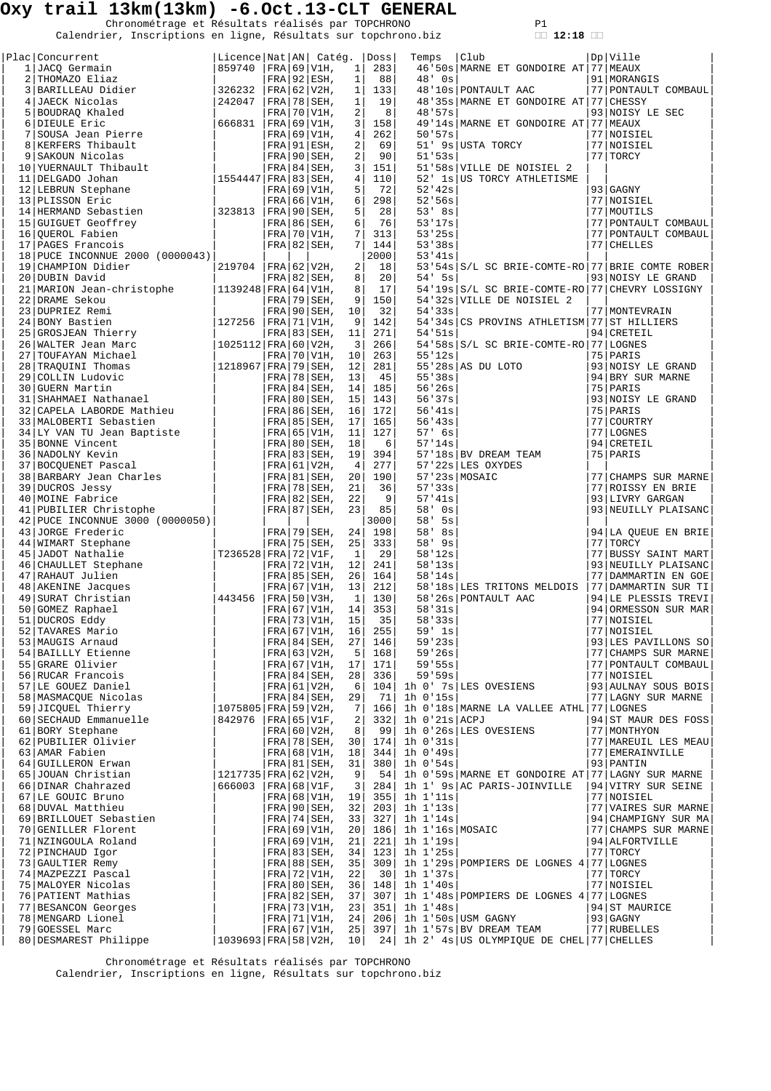Chronométrage et Résultats réalisés par TOPCHRONO P1<br>Calendrier, Inscriptions en ligne, Résultats sur topchrono.biz **12:18** 

| Plac Concurrent                                      | Licence Nat AN  Catéq.      |  |                                  |                     | Doss                  | Temps                | Club                                             | Dp Ville                                   |
|------------------------------------------------------|-----------------------------|--|----------------------------------|---------------------|-----------------------|----------------------|--------------------------------------------------|--------------------------------------------|
| 1 JACQ Germain                                       | 859740                      |  | FRA 69 V1H,                      | 1                   | 283                   |                      | 46'50s MARNE ET GONDOIRE AT 77 MEAUX             |                                            |
| 2 THOMAZO Eliaz                                      |                             |  | $FRA$   92   ESH,                | $\mathbf{1}$        | 88                    | $48'$ Os             |                                                  | 91   MORANGIS                              |
| 3 BARILLEAU Didier<br>4 JAECK Nicolas                | 326232                      |  | $FRA$ 62 V2H,                    | $\mathbf{1}$        | 133                   |                      | 48'10s PONTAULT AAC                              | 77 PONTAULT COMBAUL                        |
|                                                      | 242047                      |  | $FRA$ 78 SEH,                    | $\mathbf{1}$        | 19                    |                      | 48'35s MARNE ET GONDOIRE AT 77 CHESSY            |                                            |
| 5 BOUDRAQ Khaled<br>6 DIEULE Eric                    | 666831                      |  | FRA 70 V1H,<br> FRA 69 V1H,      | 2<br>$\overline{3}$ | 8<br>158              | 48'57s               | 49'14s MARNE ET GONDOIRE AT 77 MEAUX             | 93 NOISY LE SEC                            |
| 7 SOUSA Jean Pierre                                  |                             |  | $FRA$ 69 V1H,                    | $\overline{4}$      | 262                   | 50.57s               |                                                  | 77 NOISIEL                                 |
| 8 KERFERS Thibault                                   |                             |  | FRA 91 ESH,                      | 2                   | 69                    |                      | 51' 9s USTA TORCY                                | 77 NOISIEL                                 |
| 9 SAKOUN Nicolas                                     |                             |  | $FRA$ 90 SEH,                    | 2                   | 90                    | 51'53s               |                                                  | 77 TORCY                                   |
| 10 YUERNAULT Thibault                                |                             |  | $FRA$   84   SEH,                | 3                   | 151                   |                      | 51'58s VILLE DE NOISIEL 2                        |                                            |
| 11 DELGADO Johan                                     | $ 1554447 $ FRA   83   SEH, |  |                                  | 4                   | 110                   |                      | 52' 1s US TORCY ATHLETISME                       |                                            |
| 12   LEBRUN Stephane                                 |                             |  | $FRA$ 69 V1H,                    | 5<br>6              | 72<br>298             | 52'42s               |                                                  | 93 GAGNY                                   |
| 13 PLISSON Eric<br>14 HERMAND Sebastien              | 323813                      |  | $FRA$ 66 V1H,<br>$ FRA 90 SEH$ , | 5                   | 28                    | 52'56s<br>$53'$ $8s$ |                                                  | 77 NOISIEL<br>77 MOUTILS                   |
| 15 GUIGUET Geoffrey                                  |                             |  | $FRA$   86   SEH,                | 6                   | 76                    | 53'17s               |                                                  | 77 PONTAULT COMBAUL                        |
| 16 OUEROL Fabien                                     |                             |  | $FRA$ 70 V1H,                    | 7 <sup>1</sup>      | 313                   | 53'25s               |                                                  | 77 PONTAULT COMBAUL                        |
| 17 PAGES Francois                                    |                             |  | $FRA$ 82 SEH,                    | $7\phantom{.}$      | 144                   | 53'38s               |                                                  | 77 CHELLES                                 |
| 18 PUCE INCONNUE 2000 (0000043)                      |                             |  |                                  |                     | 2000                  | 53'41s               |                                                  |                                            |
| 19 CHAMPION Didier                                   | 219704                      |  | FRA 62 V2H,                      | 2                   | 18                    |                      | 53'54s S/L SC BRIE-COMTE-RO 77 BRIE COMTE ROBER  |                                            |
| 20 DUBIN David<br>21   MARION Jean-christophe        | 1139248   FRA   64   V1H,   |  | $FRA$ 82 SEH,                    | 8<br>8              | 20 <sup>°</sup><br>17 | $54'$ 5s             | 54'19s S/L SC BRIE-COMTE-RO 77 CHEVRY LOSSIGNY   | 93 NOISY LE GRAND                          |
| 22 DRAME Sekou                                       |                             |  | $FRA$ 79 SEH,                    | 9                   | 150                   |                      | 54'32s VILLE DE NOISIEL 2                        |                                            |
| 23 DUPRIEZ Remi                                      |                             |  | $FRA$ 90 SEH,                    | 10                  | 32                    | 54'33s               |                                                  | 77   MONTEVRAIN                            |
| 24 BONY Bastien                                      | 127256                      |  | $FRA$ 71 V1H,                    | 9                   | 142                   |                      | 54'34s CS PROVINS ATHLETISM 77 ST HILLIERS       |                                            |
| 25 GROSJEAN Thierry                                  |                             |  | $FRA$ 83   SEH,                  | 11                  | 271                   | 54'51s               |                                                  | 94 CRETEIL                                 |
| 26 WALTER Jean Marc                                  | 1025112 FRA 60 V2H,         |  |                                  | 3                   | 266                   |                      | 54'58s S/L SC BRIE-COMTE-RO 77 LOGNES            |                                            |
| 27 TOUFAYAN Michael                                  |                             |  | $FRA$ 70 V1H,                    | 10                  | 263                   | 55'12s               |                                                  | 75 PARIS<br>93 NOISY LE GRAND              |
| 28 TRAQUINI Thomas<br>29 COLLIN Ludovic              | 1218967 FRA 79 SEH,         |  | $FRA$ 78 SEH,                    | 12<br>13            | 281<br>45             | 55'38s               | $55'28s$ AS DU LOTO                              | 94 BRY SUR MARNE                           |
| 30 GUERN Martin                                      |                             |  | $FRA 84 SEH$ ,                   | 14                  | 185                   | 56'26s               |                                                  | 75 PARIS                                   |
| 31 SHAHMAEI Nathanael                                |                             |  | $FRA 80 SEH$ ,                   | 15                  | 143                   | 56'37s               |                                                  | 93 NOISY LE GRAND                          |
| 32 CAPELA LABORDE Mathieu                            |                             |  | FRA 86 SEH                       | 16                  | 172                   | 56'41s               |                                                  | 75 PARIS                                   |
| 33   MALOBERTI Sebastien                             |                             |  | FRA   85   SEH,                  | 17                  | 165                   | 56'43s               |                                                  | 77 COURTRY                                 |
| 34 LY VAN TU Jean Baptiste                           |                             |  | $FRA$ 65 V1H,                    | 11                  | 127                   | 57' 6s               |                                                  | 77 LOGNES                                  |
| 35 BONNE Vincent<br>36 NADOLNY Kevin                 |                             |  | FRA 80 SEH,<br>$FRA$ 83 SEH,     | 18<br>19            | 6<br>394              | 57'14s               | 57'18s BV DREAM TEAM                             | 94 CRETEIL<br>75 PARIS                     |
| 37 BOCQUENET Pascal                                  |                             |  | FRA 61 V2H,                      | 4                   | 277                   |                      | 57'22s LES OXYDES                                |                                            |
| 38 BARBARY Jean Charles                              |                             |  | FRA 81 SEH,                      | 20                  | 190                   |                      | $57'$ 23s MOSAIC                                 | 77 CHAMPS SUR MARNE                        |
| 39 DUCROS Jessy                                      |                             |  | $FRA$ 78 SEH,                    | 21                  | 36                    | 57'33s               |                                                  | 77 ROISSY EN BRIE                          |
| 40 MOINE Fabrice                                     |                             |  | $FRA$ 82 SEH,                    | 22                  | 9                     | 57'41s               |                                                  | 93 LIVRY GARGAN                            |
| 41 PUBILIER Christophe                               |                             |  | $FRA$ 87 SEH,                    | 23                  | 85                    | 58' Os               |                                                  | 93 NEUILLY PLAISANC                        |
| 42 PUCE INCONNUE 3000 (0000050)<br>43 JORGE Frederic |                             |  | $FRA$ 79 SEH,                    | 24                  | 3000<br>198           | 58'<br>5s<br>58' 8s  |                                                  | 94 LA QUEUE EN BRIE                        |
| 44 WIMART Stephane                                   |                             |  | $FRA$ 75 SEH,                    | 25                  | 333                   | 58' 9s               |                                                  | 77 TORCY                                   |
| 45 JADOT Nathalie                                    | T236528 FRA 72 V1F,         |  |                                  | 1                   | 29                    | 58'12s               |                                                  | 77 BUSSY SAINT MART                        |
| 46 CHAULLET Stephane                                 |                             |  | $FRA$ 72 V1H,                    | 12                  | 241                   | 58'13s               |                                                  | 93 NEUILLY PLAISANC                        |
| 47 RAHAUT Julien                                     |                             |  | $FRA$ 85 SEH,                    | 26                  | 164                   | 58'14s               |                                                  | 77 DAMMARTIN EN GOE                        |
| 48 AKENINE Jacques<br> 443456                        |                             |  | $FRA$ 67 V1H,<br>$FRA$ 50 V3H,   | 13<br>$\mathbf{1}$  | 212                   |                      | 58'18s LES TRITONS MELDOIS                       | 77 DAMMARTIN SUR TI                        |
| 49 SURAT Christian<br>50 GOMEZ Raphael               |                             |  | $FRA$ 67 V1H,                    | 14                  | 130<br>353            | 58'31s               | 58'26s PONTAULT AAC                              | 94 LE PLESSIS TREVI<br>94 ORMESSON SUR MAR |
| 51 DUCROS Eddy                                       |                             |  | FRA   73   V1H,                  | 15                  | 35                    | 58'33s               |                                                  | 77 NOISIEL                                 |
| 52 TAVARES Mario                                     |                             |  | FRA 67 V1H,                      | 16                  | 255                   | $59'$ 1s             |                                                  | 77 NOISIEL                                 |
| 53   MAUGIS Arnaud                                   |                             |  | $FRA$   84   SEH,                | 27                  | 146                   | 59'23s               |                                                  | 93 LES PAVILLONS SO                        |
| 54 BAILLLY Etienne                                   |                             |  | $FRA$ 63 V2H,                    | 5                   | 168                   | 59'26s               |                                                  | 77 CHAMPS SUR MARNE                        |
| 55 GRARE Olivier                                     |                             |  | $FRA$ 67 V1H,                    | 17                  | 171                   | 59.55s               |                                                  | 77 PONTAULT COMBAUL                        |
| 56 RUCAR Francois<br>57 LE GOUEZ Daniel              |                             |  | $FRA$ 84 SEH,<br>FRA   61   V2H, | 28<br>6             | 336 <br>104           | 59.59s               | 1h 0' 7s LES OVESIENS                            | 77 NOISIEL<br>93 AULNAY SOUS BOIS          |
| 58 MASMACQUE Nicolas                                 |                             |  | $FRA 84 SEH$ ,                   | 29                  | - 71 I                | 1h 0'15s             |                                                  | 77 LAGNY SUR MARNE                         |
| 59 JICOUEL Thierry                                   | $1075805$ FRA 59 V2H,       |  |                                  | 7                   | 166                   |                      | 1h 0'18s MARNE LA VALLEE ATHL 77 LOGNES          |                                            |
| 60 SECHAUD Emmanuelle                                | 842976                      |  | $FRA$ 65 V1F,                    | 2                   | 332                   | $1h$ $0'21s$ $ACPJ$  |                                                  | 94 ST MAUR DES FOSS                        |
| 61 BORY Stephane                                     |                             |  | $FRA$ 60 V2H,                    | 8                   | 99                    |                      | 1h 0'26s LES OVESIENS                            | 77   MONTHYON                              |
| 62 PUBILIER Olivier                                  |                             |  | $FRA$ 78 SEH,                    | 30                  | 174                   | 1h 0'31s             |                                                  | 77   MAREUIL LES MEAU                      |
| 63 AMAR Fabien<br>64 GUILLERON Erwan                 |                             |  | FRA 68 V1H,<br>FRA 81 SEH,       | 18<br>31            | 344 <br>380           | 1h 0'49s<br>1h 0'54s |                                                  | 77 EMERAINVILLE<br>93 PANTIN               |
| 65 JOUAN Christian                                   | $1217735$ FRA 62 V2H,       |  |                                  | 9                   | 54                    |                      | 1h 0'59s MARNE ET GONDOIRE AT 77 LAGNY SUR MARNE |                                            |
| 66 DINAR Chahrazed                                   | 666003                      |  | $ FRA 68 V1F$ ,                  | 3                   | 284                   |                      | 1h 1' 9s AC PARIS-JOINVILLE                      | 94 VITRY SUR SEINE                         |
| 67 LE GOUIC Bruno                                    |                             |  | $FRA$ 68 V1H,                    | 19                  | 355                   | 1h 1'11s             |                                                  | 77 NOISIEL                                 |
| 68 DUVAL Matthieu                                    |                             |  | $FRA$ 90 SEH,                    | 32                  | 203                   | 1h 1'13s             |                                                  | 77 VAIRES SUR MARNE                        |
| 69 BRILLOUET Sebastien                               |                             |  | $FRA$ 74 SEH,                    | 33                  | 327                   | 1h 1'14s             |                                                  | 94 CHAMPIGNY SUR MA                        |
| 70 GENILLER Florent                                  |                             |  | $FRA$ 69 V1H,                    | 20 <sup>°</sup>     | 186                   | 1h 1'16s MOSAIC      |                                                  | 77 CHAMPS SUR MARNE                        |
| 71 NZINGOULA Roland<br>72 PINCHAUD Igor              |                             |  | $FRA$ 69 V1H,<br>$FRA$ 83 SEH,   | 21<br>34            | 221 <br>123           | 1h 1'19s<br>1h 1'25s |                                                  | 94 ALFORTVILLE<br>77 TORCY                 |
| 73 GAULTIER Remy                                     |                             |  | $FRA$ 88 SEH,                    | 35                  | 309                   |                      | 1h 1'29s POMPIERS DE LOGNES 4 77 LOGNES          |                                            |
| 74   MAZPEZZI Pascal                                 |                             |  | $FRA$ 72 V1H,                    | 22                  | 301                   | 1h 1'37s             |                                                  | 77 TORCY                                   |
| 75   MALOYER Nicolas                                 |                             |  | $FRA$ 80 SEH,                    | 36                  | 148                   | 1h 1'40s             |                                                  | 77 NOISIEL                                 |
| 76 PATIENT Mathias                                   |                             |  | $FRA$ 82 SEH,                    | 37                  | 307                   |                      | 1h 1'48s POMPIERS DE LOGNES 4 77 LOGNES          |                                            |
| 77 BESANCON Georges<br>78   MENGARD Lionel           |                             |  | $FRA$ 73 V1H,<br>$FRA$ 71 V1H,   | 23<br>24            | 351<br>206            | $1h$ $1'$ 48s        | 1h 1'50s USM GAGNY                               | 94 ST MAURICE<br>$93$ GAGNY                |
| 79 GOESSEL Marc                                      |                             |  | $FRA$ 67 V1H,                    | 25                  | 397                   |                      | 1h 1'57s BV DREAM TEAM                           | 77 RUBELLES                                |
| 80 DESMAREST Philippe                                | $1039693$ FRA 58 V2H,       |  |                                  | 10                  | 24                    |                      | 1h 2' 4s US OLYMPIQUE DE CHEL 77 CHELLES         |                                            |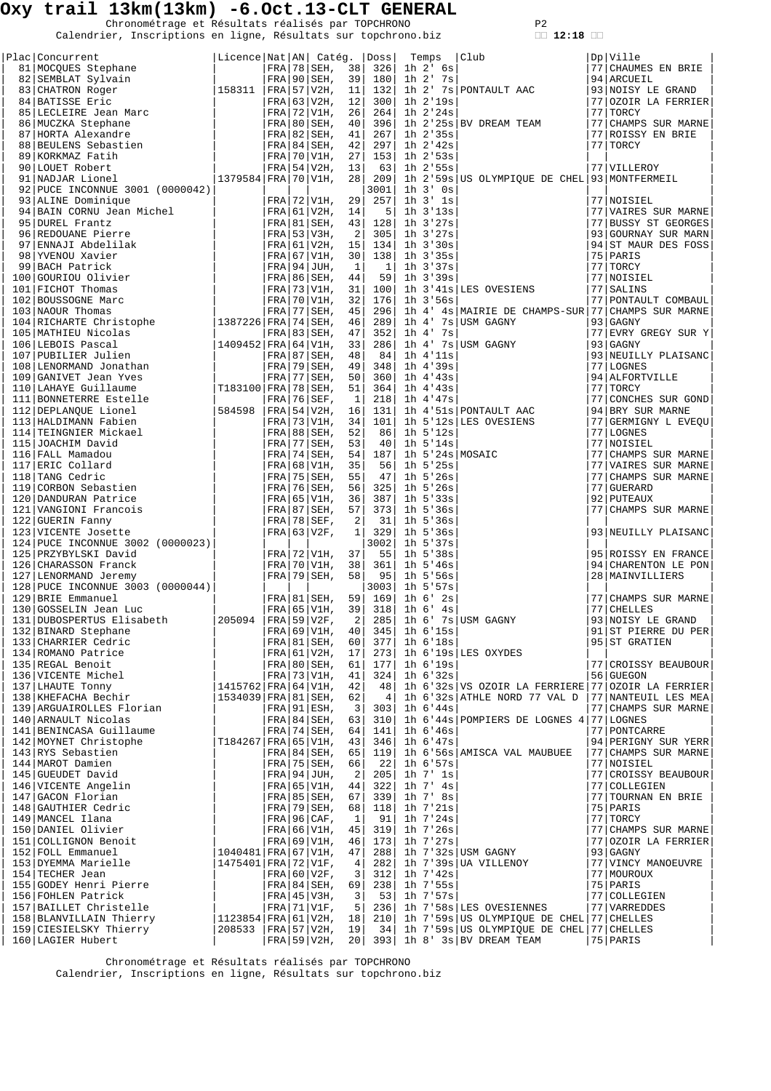Chronométrage et Résultats réalisés par TOPCHRONO P2<br>Calendrier, Inscriptions en ligne, Résultats sur topchrono.biz **12:18** 

|  | າ | -1 | o |  |
|--|---|----|---|--|

| Plac Concurrent                                                                                                                                                                                                                                                              | Licence Nat AN  Catég.  Doss |  |                                   |                  |           |                                  |                                                                                                                                                                                                                                               |                                     |
|------------------------------------------------------------------------------------------------------------------------------------------------------------------------------------------------------------------------------------------------------------------------------|------------------------------|--|-----------------------------------|------------------|-----------|----------------------------------|-----------------------------------------------------------------------------------------------------------------------------------------------------------------------------------------------------------------------------------------------|-------------------------------------|
|                                                                                                                                                                                                                                                                              |                              |  |                                   |                  | 326       |                                  |                                                                                                                                                                                                                                               | 77  CHAUMES EN BRIE                 |
|                                                                                                                                                                                                                                                                              |                              |  |                                   |                  |           | 180  1h 2' 7s                    |                                                                                                                                                                                                                                               |                                     |
|                                                                                                                                                                                                                                                                              |                              |  |                                   |                  |           |                                  |                                                                                                                                                                                                                                               |                                     |
|                                                                                                                                                                                                                                                                              |                              |  |                                   |                  |           |                                  |                                                                                                                                                                                                                                               | 77  OZOIR LA FERRIER                |
|                                                                                                                                                                                                                                                                              |                              |  |                                   |                  |           |                                  |                                                                                                                                                                                                                                               |                                     |
|                                                                                                                                                                                                                                                                              |                              |  |                                   |                  |           |                                  |                                                                                                                                                                                                                                               | 77 CHAMPS SUR MARNE                 |
|                                                                                                                                                                                                                                                                              |                              |  |                                   |                  | 267       | $1h$ $2'35s$                     |                                                                                                                                                                                                                                               | 77 ROISSY EN BRIE                   |
|                                                                                                                                                                                                                                                                              |                              |  |                                   |                  | 297       | 1h 2'42s                         |                                                                                                                                                                                                                                               | 77 TORCY                            |
|                                                                                                                                                                                                                                                                              |                              |  |                                   |                  |           | $153$ 1h $2!53s$<br>63  1h 2'55s |                                                                                                                                                                                                                                               | 77 VILLEROY                         |
|                                                                                                                                                                                                                                                                              |                              |  |                                   |                  |           |                                  | 209   1h 2'59s US OLYMPIQUE DE CHEL 93 MONTFERMEIL                                                                                                                                                                                            |                                     |
| 92 PUCE INCONNUE 3001 (0000042)<br>91 NADAR Lionel 1379584  FRA 70 VIH, 28<br>92 PUCE INCONNUE 3001 (0000042)<br>93 ALINE Dominique (FRA 170 VIH, 29 <br>93 ALINE Dominique (FRA 161 V2H, 14<br>95 NEEL Frantz<br>97 ENDADI Abdelilak (FRA 161 V2H, 15<br>97 ENDADI Abdelila |                              |  |                                   |                  | 3001      | $1h$ $3'$ $0s$                   |                                                                                                                                                                                                                                               |                                     |
|                                                                                                                                                                                                                                                                              |                              |  |                                   |                  | 257       | $1h$ $3'$ $1s$                   |                                                                                                                                                                                                                                               | 77 NOISIEL                          |
|                                                                                                                                                                                                                                                                              |                              |  |                                   |                  | 5         | $1h \ 3'13s$                     |                                                                                                                                                                                                                                               | 77 VAIRES SUR MARNE                 |
|                                                                                                                                                                                                                                                                              |                              |  |                                   |                  | 128       | $1h$ 3'27s                       |                                                                                                                                                                                                                                               | 77 BUSSY ST GEORGES                 |
|                                                                                                                                                                                                                                                                              |                              |  |                                   |                  |           | $305$ 1h $3'27s$                 |                                                                                                                                                                                                                                               | 93 GOURNAY SUR MARN                 |
|                                                                                                                                                                                                                                                                              |                              |  |                                   |                  |           | $134$ 1h $3'30s$                 |                                                                                                                                                                                                                                               | 94 ST MAUR DES FOSS                 |
|                                                                                                                                                                                                                                                                              |                              |  |                                   |                  |           | $138$ 1h $3'35s$                 |                                                                                                                                                                                                                                               | 75 PARIS                            |
|                                                                                                                                                                                                                                                                              |                              |  |                                   |                  | 1         | 1h 3'37s                         |                                                                                                                                                                                                                                               | 77 TORCY                            |
|                                                                                                                                                                                                                                                                              |                              |  |                                   |                  | 59        | 1h 3'39s                         |                                                                                                                                                                                                                                               | 77 NOISIEL                          |
|                                                                                                                                                                                                                                                                              |                              |  |                                   |                  |           |                                  | 100 1h 3'41s LES OVESIENS                                                                                                                                                                                                                     | 77 SALINS                           |
|                                                                                                                                                                                                                                                                              |                              |  |                                   |                  |           | 1h 3'56s                         |                                                                                                                                                                                                                                               | 77 PONTAULT COMBAUL                 |
|                                                                                                                                                                                                                                                                              |                              |  |                                   |                  |           |                                  | 296 1h 4' 4s MAIRIE DE CHAMPS-SUR 77 CHAMPS SUR MARNE                                                                                                                                                                                         |                                     |
|                                                                                                                                                                                                                                                                              |                              |  |                                   |                  |           |                                  |                                                                                                                                                                                                                                               | $93$ GAGNY                          |
|                                                                                                                                                                                                                                                                              |                              |  |                                   |                  |           |                                  |                                                                                                                                                                                                                                               | 77 EVRY GREGY SUR Y                 |
|                                                                                                                                                                                                                                                                              |                              |  |                                   |                  |           |                                  | 298   10 4 $^4$ 48 MAIRIE DE CHAMPS-SUR<br>289   10 4 $^7$ 7s   USM GAGNY<br>286   10 4 $^7$ 7s   USM GAGNY<br>286   10 4 $^7$ 7s   USM GAGNY<br>348   10 4 $^4$ 39s<br>360   10 4 $^4$ 38<br>364   10 4 $^4$ 38<br>218   10 4 $^4$ 37s<br>21 | 93   GAGNY                          |
|                                                                                                                                                                                                                                                                              |                              |  |                                   |                  |           |                                  |                                                                                                                                                                                                                                               | 93 NEUILLY PLAISANC                 |
|                                                                                                                                                                                                                                                                              |                              |  |                                   |                  |           |                                  |                                                                                                                                                                                                                                               | 77 LOGNES                           |
|                                                                                                                                                                                                                                                                              |                              |  |                                   |                  |           |                                  |                                                                                                                                                                                                                                               | 94 ALFORTVILLE                      |
|                                                                                                                                                                                                                                                                              |                              |  |                                   |                  |           |                                  |                                                                                                                                                                                                                                               | 77 TORCY                            |
|                                                                                                                                                                                                                                                                              |                              |  |                                   |                  |           |                                  |                                                                                                                                                                                                                                               | 77 CONCHES SUR GOND                 |
|                                                                                                                                                                                                                                                                              |                              |  |                                   |                  |           |                                  |                                                                                                                                                                                                                                               | 94 BRY SUR MARNE                    |
|                                                                                                                                                                                                                                                                              |                              |  |                                   |                  |           |                                  | 101   1h 5'12s LES OVESIENS<br>86   1h 5'12s  <br>40   1h 5'14s                                                                                                                                                                               | 77 GERMIGNY L EVEQU                 |
|                                                                                                                                                                                                                                                                              |                              |  |                                   |                  |           |                                  |                                                                                                                                                                                                                                               | $ 77 $ LOGNES                       |
|                                                                                                                                                                                                                                                                              |                              |  |                                   |                  |           |                                  |                                                                                                                                                                                                                                               | 77   NOISIEL<br>77 CHAMPS SUR MARNE |
|                                                                                                                                                                                                                                                                              |                              |  |                                   |                  |           |                                  |                                                                                                                                                                                                                                               | 77 VAIRES SUR MARNE                 |
|                                                                                                                                                                                                                                                                              |                              |  |                                   |                  |           |                                  |                                                                                                                                                                                                                                               | 77 CHAMPS SUR MARNE                 |
|                                                                                                                                                                                                                                                                              |                              |  |                                   |                  |           |                                  |                                                                                                                                                                                                                                               | 77 GUERARD                          |
|                                                                                                                                                                                                                                                                              |                              |  |                                   |                  |           |                                  |                                                                                                                                                                                                                                               | 92 PUTEAUX                          |
|                                                                                                                                                                                                                                                                              |                              |  |                                   |                  |           |                                  | 187 11 5 '248 MOSAIC<br>56 11 5 '258<br>47 11 5 '268<br>325 11 5 '268<br>387 11 5 '338<br>373 11 5 '368                                                                                                                                       | 77 CHAMPS SUR MARNE                 |
|                                                                                                                                                                                                                                                                              |                              |  |                                   |                  | 31        | 1h 5'36s                         |                                                                                                                                                                                                                                               |                                     |
|                                                                                                                                                                                                                                                                              |                              |  |                                   |                  | 329       | 1h 5'36s                         |                                                                                                                                                                                                                                               | 93 NEUILLY PLAISANC                 |
| 124 PUCE INCONNUE 3002 (0000023)                                                                                                                                                                                                                                             |                              |  |                                   |                  | 3002      | 1h 5'37s                         |                                                                                                                                                                                                                                               |                                     |
| 125 PRZYBYLSKI David                                                                                                                                                                                                                                                         |                              |  | FRA 72 V1H,                       | 37               | 55        | 1h 5'38s                         |                                                                                                                                                                                                                                               | 95 ROISSY EN FRANCE                 |
| 126 CHARASSON Franck                                                                                                                                                                                                                                                         |                              |  | FRA 70 V1H,                       | 38               | 361       | $1h$ 5'46s                       |                                                                                                                                                                                                                                               | 94 CHARENTON LE PON                 |
| 127 LENORMAND Jeremy                                                                                                                                                                                                                                                         |                              |  | FRA 79 SEH,                       | 58               |           | 95  1h 5'56s                     |                                                                                                                                                                                                                                               | 28   MAINVILLIERS                   |
| 128 PUCE INCONNUE 3003 (0000044)<br>129 BRIE Emmanuel<br>130 GOSSELIN Jean Luc<br>131 DUBOSPERTUS Elisabeth<br>132 BENNAPD Stephens<br>132 BENNAPD Stephens<br>132 BENNAPD Stephens<br>132 BENNAPD Stephens<br>132 BENNAPD Stephens<br>132 BENN                              |                              |  |                                   |                  | 3003      | 1h 5'57s                         |                                                                                                                                                                                                                                               |                                     |
|                                                                                                                                                                                                                                                                              |                              |  |                                   |                  |           | FRA 81 SEH, 59 169 1h 6'2s       | $\begin{array}{c cc cc} & 3003 & 1h & 5'57s \\ 59 & 169 & 1h & 6' & 2s \\ 39 & 318 & 1h & 6' & 4s \\ 2 & 285 & 1h & 6' & 7s & \text{USM GAGNY} \end{array}$                                                                                   | 77 CHAMPS SUR MARNE                 |
|                                                                                                                                                                                                                                                                              |                              |  | FRA 65 V1H, 39                    |                  |           |                                  |                                                                                                                                                                                                                                               | 77 CHELLES                          |
|                                                                                                                                                                                                                                                                              |                              |  |                                   |                  |           |                                  |                                                                                                                                                                                                                                               | 93 NOISY LE GRAND                   |
|                                                                                                                                                                                                                                                                              |                              |  |                                   |                  |           |                                  |                                                                                                                                                                                                                                               |                                     |
|                                                                                                                                                                                                                                                                              |                              |  | FRA 81 SEH, 60                    |                  | 377       | 1h 6'18s                         |                                                                                                                                                                                                                                               | 95 ST GRATIEN                       |
|                                                                                                                                                                                                                                                                              |                              |  | FRA 61 V2H, 17                    |                  |           |                                  | $273$ 1h $6'19s$ LES OXYDES                                                                                                                                                                                                                   |                                     |
|                                                                                                                                                                                                                                                                              |                              |  | FRA 80 SEH, 61                    |                  |           | $177$ 1h 6'19s                   |                                                                                                                                                                                                                                               | 77 CROISSY BEAUBOUR                 |
| 131 DUBOSPERIOS EILBADECH<br>132 BINARD Stephane<br>133 CHARRIER Cedric<br>134 ROMANO Patrice<br>135 REGAL Benoit<br>136 NHEFACHA Bechir<br>137 LHAUTE Tompy<br>138 KHEFACHA Bechir<br>130 NHEFACHA Bechir                                                                   |                              |  | $FRA$ 73 V1H, 41                  |                  |           | $324$ 1h $6'32s$                 |                                                                                                                                                                                                                                               | 56 GUEGON                           |
|                                                                                                                                                                                                                                                                              | 1415762 FRA 64 V1H, 42       |  |                                   |                  |           |                                  | 48   1h 6'32s   VS OZOIR LA FERRIERE   77   OZOIR LA FERRIER                                                                                                                                                                                  |                                     |
|                                                                                                                                                                                                                                                                              | 1534039 FRA 81 SEH,          |  |                                   | 62               | 4         |                                  | 1h 6'32s ATHLE NORD 77 VAL D                                                                                                                                                                                                                  | $ 77 $ NANTEUIL LES MEA             |
| 139 ARGUAIROLLES Florian                                                                                                                                                                                                                                                     |                              |  | $FRA$   91   ESH,                 | $\frac{3}{3}$    |           | $303$ 1h 6'44s                   |                                                                                                                                                                                                                                               | 77 CHAMPS SUR MARNE                 |
| 140 ARNAULT Nicolas                                                                                                                                                                                                                                                          |                              |  | FRA 84 SEH, 63                    |                  |           |                                  | 310 1h 6'44s POMPIERS DE LOGNES 4 77 LOGNES                                                                                                                                                                                                   |                                     |
| 141 BENINCASA Guillaume                                                                                                                                                                                                                                                      |                              |  | FRA 74 SEH, 64                    |                  | 141       | $1h$ $6'46s$                     |                                                                                                                                                                                                                                               | 77   PONTCARRE                      |
|                                                                                                                                                                                                                                                                              | T184267 FRA 65 V1H,          |  |                                   | 43               | 346       | 1h 6'47s                         |                                                                                                                                                                                                                                               | 94 PERIGNY SUR YERR                 |
|                                                                                                                                                                                                                                                                              |                              |  | $FRA$ 84 SEH,<br>$FRA$ 75 SEH, 66 | 65               | 119       |                                  | 1h 6'56s AMISCA VAL MAUBUEE                                                                                                                                                                                                                   | 77 CHAMPS SUR MARNE<br>77 NOISIEL   |
|                                                                                                                                                                                                                                                                              |                              |  | $FRA$   94   JUH,                 | $\left 2\right $ | 22<br>205 | 1h 6'57s<br>1h 7' 1s             |                                                                                                                                                                                                                                               | 77 CROISSY BEAUBOUR                 |
|                                                                                                                                                                                                                                                                              |                              |  | FRA 65 V1H, 44                    |                  |           | $322$ 1h 7' 4s                   |                                                                                                                                                                                                                                               | 77 COLLEGIEN                        |
|                                                                                                                                                                                                                                                                              |                              |  | FRA 85 SEH, 67                    |                  | 339       | 1h 7' 8s                         |                                                                                                                                                                                                                                               | 77 TOURNAN EN BRIE                  |
|                                                                                                                                                                                                                                                                              |                              |  | $FRA$ 79 SEH, 68                  |                  |           | $118$ 1h $7'21s$                 |                                                                                                                                                                                                                                               | 75 PARIS                            |
|                                                                                                                                                                                                                                                                              |                              |  | $FRA$ 96 CAF,                     | $\mathbf{1}$     | 91        | 1h 7'24s                         |                                                                                                                                                                                                                                               | $77$ TORCY                          |
|                                                                                                                                                                                                                                                                              |                              |  | $FRA$ 66 V1H,                     | 45               |           | $319$   1h $7'26s$               |                                                                                                                                                                                                                                               | 77 CHAMPS SUR MARNE                 |
| 141   BENINCASA Guillaume<br>142   MOYNET Christophe<br>143   RYS Sebastien<br>144   MAROT Damien<br>145   GUEUDET David<br>146   VICENTE Angelin<br>147   GACON Florian<br>148   GAUTHIER Cedric<br>149   MANCEL Ilana<br>50   DANIEL Olivier<br>151   COLL                 |                              |  | FRA   69   V1H,                   | 46               |           | $173$ 1h $7'27s$                 |                                                                                                                                                                                                                                               | 77 OZOIR LA FERRIER                 |
|                                                                                                                                                                                                                                                                              | $ 1040481 $ FRA $ 67 V1H$ ,  |  |                                   | 47               | 288       |                                  | 1h 7'32s USM GAGNY                                                                                                                                                                                                                            | $93$ GAGNY                          |
|                                                                                                                                                                                                                                                                              | $ 1475401 $ FRA $ 72 V1F$ ,  |  |                                   | $\overline{4}$   |           |                                  | 282 1h 7'39s UA VILLENOY                                                                                                                                                                                                                      | 77 VINCY MANOEUVRE                  |
|                                                                                                                                                                                                                                                                              |                              |  | $FRA$ 60 V2F,                     | $\frac{3}{2}$    |           | 312 1h 7'42s                     |                                                                                                                                                                                                                                               | 77   MOUROUX                        |
| 150 DANIERON Benoit<br>152 FOLL Emmanuel<br>153 DYEMMA Marielle<br>154 TECHER Jean<br>155 GODEY Henri Pierre<br>155 GODEY Henri Pierre                                                                                                                                       |                              |  | FRA 84 SEH, 69                    |                  |           | $238$ 1h $7.55s$                 |                                                                                                                                                                                                                                               | 75 PARIS                            |
| 156 FOHLEN Patrick                                                                                                                                                                                                                                                           |                              |  | FRA 45 V3H,                       | $\vert$ 3        |           | 53  1h 7'57s                     |                                                                                                                                                                                                                                               | 77 COLLEGIEN                        |
| 157 BAILLET Christelle                                                                                                                                                                                                                                                       |                              |  | $FRA$ 71 V1F,                     | 5                |           |                                  | 236 1h 7'58s LES OVESIENNES                                                                                                                                                                                                                   | 77 VARREDDES                        |
| 158 BLANVILLAIN Thierry                                                                                                                                                                                                                                                      | 1123854 FRA 61 V2H, 18       |  |                                   |                  | 210       |                                  | 1h 7'59s US OLYMPIQUE DE CHEL 77 CHELLES                                                                                                                                                                                                      |                                     |
| 159 CIESIELSKY Thierry                                                                                                                                                                                                                                                       | $208533$  FRA   57   V2H, 19 |  |                                   |                  |           |                                  | 34   1h 7'59s US OLYMPIQUE DE CHEL 77 CHELLES                                                                                                                                                                                                 |                                     |
| 160 LAGIER Hubert                                                                                                                                                                                                                                                            |                              |  |                                   |                  |           |                                  | $ FRA 59 V2H$ , 20 393 1h 8' 3s BV DREAM TEAM                                                                                                                                                                                                 | 75 PARIS                            |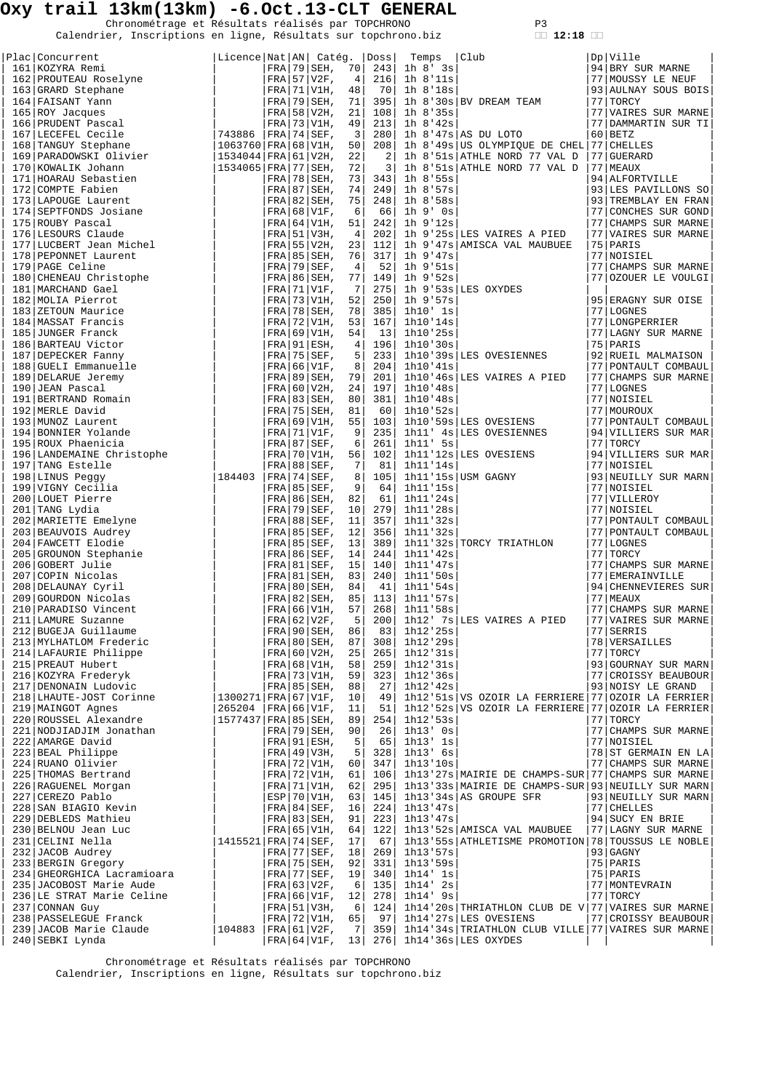Chronométrage et Résultats réalisés par TOPCHRONO P3<br>Calendrier, Inscriptions en ligne, Résultats sur topchrono.biz **12:18** 

|  | Calendrier, Inscriptions en ligne, Résultats sur topchrono.biz |  |  |  |
|--|----------------------------------------------------------------|--|--|--|
|  |                                                                |  |  |  |

| ◠ |  | ο |  |
|---|--|---|--|

|  |                                                                                                                                                                                                                                                                                                                                                          | Licence   Nat   AN   Catég.   Doss |  |                                           |                     |            | Temps                | Club                                                                                                           | Dp Ville                          |
|--|----------------------------------------------------------------------------------------------------------------------------------------------------------------------------------------------------------------------------------------------------------------------------------------------------------------------------------------------------------|------------------------------------|--|-------------------------------------------|---------------------|------------|----------------------|----------------------------------------------------------------------------------------------------------------|-----------------------------------|
|  |                                                                                                                                                                                                                                                                                                                                                          |                                    |  |                                           |                     | 243        | 1h 8' 3s             |                                                                                                                | 94 BRY SUR MARNE                  |
|  |                                                                                                                                                                                                                                                                                                                                                          |                                    |  |                                           |                     |            | $216$ 1h 8'11s       |                                                                                                                | 77 MOUSSY LE NEUF                 |
|  |                                                                                                                                                                                                                                                                                                                                                          |                                    |  |                                           |                     | 70         | 1h 8'18s             |                                                                                                                | 93 AULNAY SOUS BOIS               |
|  |                                                                                                                                                                                                                                                                                                                                                          |                                    |  |                                           |                     | 395        |                      | 1h 8'30s BV DREAM TEAM                                                                                         | 77   TORCY                        |
|  |                                                                                                                                                                                                                                                                                                                                                          |                                    |  |                                           |                     | 108        | 1h 8'35s             |                                                                                                                | 77 VAIRES SUR MARNE               |
|  |                                                                                                                                                                                                                                                                                                                                                          |                                    |  |                                           |                     | 213        | 1h 8'42s             |                                                                                                                | 77 DAMMARTIN SUR TI               |
|  |                                                                                                                                                                                                                                                                                                                                                          |                                    |  |                                           |                     | 280        |                      | 1h 8'47s AS DU LOTO                                                                                            | $60$ BETZ                         |
|  |                                                                                                                                                                                                                                                                                                                                                          |                                    |  |                                           |                     | 208<br>2   |                      | 1h 8'49s US OLYMPIQUE DE CHEL 77 CHELLES<br>1h 8'51s ATHLE NORD 77 VAL D                                       | 77 GUERARD                        |
|  |                                                                                                                                                                                                                                                                                                                                                          |                                    |  |                                           |                     | 3          |                      | 1h 8'51s ATHLE NORD 77 VAL D                                                                                   | 77 MEAUX                          |
|  |                                                                                                                                                                                                                                                                                                                                                          |                                    |  |                                           |                     | 343        | $1h$ $8!55s$         |                                                                                                                | 94 ALFORTVILLE                    |
|  |                                                                                                                                                                                                                                                                                                                                                          |                                    |  |                                           |                     | 249        | $1h \ 8.57s$         |                                                                                                                | 93 LES PAVILLONS SO               |
|  |                                                                                                                                                                                                                                                                                                                                                          |                                    |  |                                           |                     | 248        | $1h$ 8'58s           |                                                                                                                | 93 TREMBLAY EN FRAN               |
|  |                                                                                                                                                                                                                                                                                                                                                          |                                    |  |                                           |                     | 66         | 1h 9' Os             |                                                                                                                | 77 CONCHES SUR GOND               |
|  |                                                                                                                                                                                                                                                                                                                                                          |                                    |  |                                           |                     | 242        | 1h 9'12s             |                                                                                                                | 77 CHAMPS SUR MARNE               |
|  |                                                                                                                                                                                                                                                                                                                                                          |                                    |  |                                           |                     | 202        |                      | 1h 9'25s LES VAIRES A PIED                                                                                     | 77 VAIRES SUR MARNE               |
|  |                                                                                                                                                                                                                                                                                                                                                          |                                    |  |                                           |                     | 112        |                      | 1h 9'47s AMISCA VAL MAUBUEE                                                                                    | 75 PARIS                          |
|  |                                                                                                                                                                                                                                                                                                                                                          |                                    |  |                                           |                     | 317        | 1h 9'47s             |                                                                                                                | 77 NOISIEL                        |
|  |                                                                                                                                                                                                                                                                                                                                                          |                                    |  |                                           |                     | 521        | 1h 9'51s             |                                                                                                                | 77 CHAMPS SUR MARNE               |
|  |                                                                                                                                                                                                                                                                                                                                                          |                                    |  |                                           |                     | 149        | 1h 9'52s             |                                                                                                                | 77 OZOUER LE VOULGI               |
|  |                                                                                                                                                                                                                                                                                                                                                          |                                    |  |                                           |                     | 275        |                      | 1h 9'53s LES OXYDES                                                                                            |                                   |
|  |                                                                                                                                                                                                                                                                                                                                                          |                                    |  |                                           |                     | 250        | 1h 9'57s             |                                                                                                                | 95 ERAGNY SUR OISE                |
|  |                                                                                                                                                                                                                                                                                                                                                          |                                    |  |                                           |                     | 385<br>167 | 1h10' 1s<br>1h10'14s |                                                                                                                | 77 LOGNES<br>77 LONGPERRIER       |
|  |                                                                                                                                                                                                                                                                                                                                                          |                                    |  |                                           |                     | 13         | 1h10'25s             |                                                                                                                | 77 LAGNY SUR MARNE                |
|  |                                                                                                                                                                                                                                                                                                                                                          |                                    |  |                                           |                     | 196        | 1h10'30s             |                                                                                                                | 75   PARIS                        |
|  |                                                                                                                                                                                                                                                                                                                                                          |                                    |  |                                           |                     | 233        |                      | 1h10'39s LES OVESIENNES                                                                                        | 92 RUEIL MALMAISON                |
|  |                                                                                                                                                                                                                                                                                                                                                          |                                    |  |                                           |                     | 204        | 1h10'41s             |                                                                                                                | 77 PONTAULT COMBAUL               |
|  |                                                                                                                                                                                                                                                                                                                                                          |                                    |  |                                           |                     | 201        |                      | 1h10'46s LES VAIRES A PIED                                                                                     | 77 CHAMPS SUR MARNE               |
|  |                                                                                                                                                                                                                                                                                                                                                          |                                    |  |                                           |                     | 197        | 1h10'48s             |                                                                                                                | 77 LOGNES                         |
|  |                                                                                                                                                                                                                                                                                                                                                          |                                    |  |                                           |                     | 381        | 1h10'48s             |                                                                                                                | 77 NOISIEL                        |
|  |                                                                                                                                                                                                                                                                                                                                                          |                                    |  |                                           |                     | 601        | 1h10'52s             |                                                                                                                | 77   MOUROUX                      |
|  |                                                                                                                                                                                                                                                                                                                                                          |                                    |  |                                           |                     | 103        |                      | 1h10'59s LES OVESIENS                                                                                          | 77 PONTAULT COMBAUL               |
|  |                                                                                                                                                                                                                                                                                                                                                          |                                    |  |                                           |                     | 235        |                      | 1h11' 4s LES OVESIENNES                                                                                        | 94 VILLIERS SUR MAR               |
|  |                                                                                                                                                                                                                                                                                                                                                          |                                    |  |                                           |                     | 261        | 1h11' 5s             |                                                                                                                | 77   TORCY                        |
|  |                                                                                                                                                                                                                                                                                                                                                          |                                    |  |                                           |                     | 102        |                      | 1h11'12s LES OVESIENS                                                                                          | 94 VILLIERS SUR MAR               |
|  | 197 TANG Estelle<br> 184403                                                                                                                                                                                                                                                                                                                              |                                    |  | $FRA$ 88 SEF,                             | 7                   | 81         | 1h11'14s             |                                                                                                                | 77 NOISIEL                        |
|  | 198 LINUS Peggy<br>199 VIGNY Cecilia                                                                                                                                                                                                                                                                                                                     |                                    |  | $ FRA 74 SEF$ ,<br>$FRA$ 85 SEF,          | 8<br>$\overline{9}$ | 105<br>64  | 1h11'15s             | $1h11'15s$ USM GAGNY                                                                                           | 93 NEUILLY SUR MARN<br>77 NOISIEL |
|  |                                                                                                                                                                                                                                                                                                                                                          |                                    |  |                                           |                     |            |                      |                                                                                                                | 77 VILLEROY                       |
|  |                                                                                                                                                                                                                                                                                                                                                          |                                    |  |                                           |                     |            |                      |                                                                                                                | 77 NOISIEL                        |
|  |                                                                                                                                                                                                                                                                                                                                                          |                                    |  |                                           |                     |            |                      |                                                                                                                | 77 PONTAULT COMBAUL               |
|  |                                                                                                                                                                                                                                                                                                                                                          |                                    |  |                                           |                     |            |                      |                                                                                                                | 77 PONTAULT COMBAUL               |
|  |                                                                                                                                                                                                                                                                                                                                                          |                                    |  |                                           |                     |            |                      | 1h11'32s TORCY TRIATHLON                                                                                       | 77 LOGNES                         |
|  |                                                                                                                                                                                                                                                                                                                                                          |                                    |  |                                           |                     |            |                      |                                                                                                                | 77 TORCY                          |
|  |                                                                                                                                                                                                                                                                                                                                                          |                                    |  |                                           |                     |            |                      |                                                                                                                | 77 CHAMPS SUR MARNE               |
|  |                                                                                                                                                                                                                                                                                                                                                          |                                    |  |                                           |                     |            |                      |                                                                                                                | 77 EMERAINVILLE                   |
|  |                                                                                                                                                                                                                                                                                                                                                          |                                    |  |                                           |                     |            |                      |                                                                                                                | 94 CHENNEVIERES SUR               |
|  |                                                                                                                                                                                                                                                                                                                                                          |                                    |  |                                           |                     |            |                      |                                                                                                                | 77 MEAUX                          |
|  |                                                                                                                                                                                                                                                                                                                                                          |                                    |  |                                           |                     |            |                      |                                                                                                                | 77 CHAMPS SUR MARNE               |
|  |                                                                                                                                                                                                                                                                                                                                                          |                                    |  |                                           |                     |            |                      | $200$ 1h12' 7s LES VAIRES A PIED                                                                               | 77 VAIRES SUR MARNE               |
|  |                                                                                                                                                                                                                                                                                                                                                          |                                    |  |                                           |                     |            |                      |                                                                                                                |                                   |
|  |                                                                                                                                                                                                                                                                                                                                                          |                                    |  |                                           |                     |            |                      |                                                                                                                |                                   |
|  |                                                                                                                                                                                                                                                                                                                                                          |                                    |  |                                           |                     |            |                      |                                                                                                                | 93 GOURNAY SUR MARN               |
|  | $\begin{tabular}{l c c c c c} \hline 199 & VIGMY Cecilia & \hline \texttt{FRA} & 85 SEF, & 9&64&1h11'15s\\ \hline 2001 & LUMB Lydia & \hline \texttt{FRA} & 86 SEF, & 10&279&1h11'24s\\ \hline 2021 & MARIETTE Emelyne & \hline \texttt{FRA} & 99 SEF, & 10&279&1h11'28s\\ \hline 2031 & BBAUVOIS Rudney & \hline \texttt{FRA} & 88 SEF, & 11&357&1h11'$ |                                    |  |                                           |                     |            |                      | 77   VAIRES SUR M<br>77   SERRIS<br>78   VERSAILLES<br>77   TORCY<br>93   GOURNAY SUR M<br>977   CROISSY BEAUE | 77 CROISSY BEAUBOUR               |
|  |                                                                                                                                                                                                                                                                                                                                                          |                                    |  |                                           |                     |            |                      |                                                                                                                | 93 NOISY LE GRAND                 |
|  |                                                                                                                                                                                                                                                                                                                                                          |                                    |  |                                           |                     |            |                      | 1h12'51s VS OZOIR LA FERRIERE 77 OZOIR LA FERRIER                                                              |                                   |
|  |                                                                                                                                                                                                                                                                                                                                                          | 265204  FRA 66 V1F, 11             |  |                                           |                     | 51         |                      | 1h12'52s VS OZOIR LA FERRIERE 77 OZOIR LA FERRIER                                                              |                                   |
|  |                                                                                                                                                                                                                                                                                                                                                          | $ 1577437 $ FRA $ 85 $ SEH,        |  |                                           | 89                  | 254        | 1h12'53s             |                                                                                                                | 77 TORCY                          |
|  |                                                                                                                                                                                                                                                                                                                                                          |                                    |  | $FRA$ 79 SEH,                             | 90                  | 26         | $1h13'$ Os           |                                                                                                                | 77 CHAMPS SUR MARNE               |
|  |                                                                                                                                                                                                                                                                                                                                                          |                                    |  | $FRA$ 91 ESH,                             | $5^{\circ}$         | 65         | $1h13'$ $1s$         |                                                                                                                | 77 NOISIEL                        |
|  |                                                                                                                                                                                                                                                                                                                                                          |                                    |  | $FRA$ 49 V3H,                             | 5 <sup>1</sup>      | 328        | $1h13'$ 6s           |                                                                                                                | 78 ST GERMAIN EN LA               |
|  |                                                                                                                                                                                                                                                                                                                                                          |                                    |  | FRA 72 V1H, 60                            |                     | 347        | 1h13'10s             |                                                                                                                | 77 CHAMPS SUR MARNE               |
|  |                                                                                                                                                                                                                                                                                                                                                          |                                    |  | FRA   72   V1H,                           | 61                  | 106        |                      | 1h13'27s MAIRIE DE CHAMPS-SUR 77 CHAMPS SUR MARNE                                                              |                                   |
|  |                                                                                                                                                                                                                                                                                                                                                          |                                    |  | $\text{FRA}$ 71 V1H, 62<br>$ESP 70 V1H$ , | 63                  | 295<br>145 |                      | 1h13'33s MAIRIE DE CHAMPS-SUR 93 NEUILLY SUR MARN<br>$1h13'34s$ AS GROUPE SFR                                  | 93 NEUILLY SUR MARN               |
|  |                                                                                                                                                                                                                                                                                                                                                          |                                    |  | $FRA$ 84 SEF,                             | 16                  | 224        | 1h13'47s             |                                                                                                                | 77 CHELLES                        |
|  |                                                                                                                                                                                                                                                                                                                                                          |                                    |  | $FRA$ 83 SEH,                             | 91                  | 223        | 1h13'47s             |                                                                                                                | 94 SUCY EN BRIE                   |
|  | 218 LHAUTE-JOST Corinne<br>219 MAINGOT Agnes<br>221 ROOJIADJIM Jonathan<br>221 NODJIADJIM Jonathan<br>222 AMARGE David<br>223 BEAL Philippe<br>224 RUANO Olivier<br>225 THOMAS Bertrand<br>226 RAGUENEL Morgan<br>226 RAGUENEL Morgan<br>227 CEREZ                                                                                                       |                                    |  | $FRA$ 65 V1H,                             | 64                  | 122        |                      | 1h13'52s   AMISCA VAL MAUBUEE                                                                                  | 77 LAGNY SUR MARNE                |
|  |                                                                                                                                                                                                                                                                                                                                                          | $ 1415521 $ FRA   74   SEF, 17     |  |                                           |                     | 671        |                      | 1h13'55s ATHLETISME PROMOTION 78 TOUSSUS LE NOBLE                                                              |                                   |
|  |                                                                                                                                                                                                                                                                                                                                                          |                                    |  | $FRA$ 77 SEF,                             | 18                  | 269        | 1h13'57s             |                                                                                                                | $93$ GAGNY                        |
|  |                                                                                                                                                                                                                                                                                                                                                          |                                    |  | $FRA$ 75 SEH, 92                          |                     | 331        | 1h13'59s             |                                                                                                                | $75$ PARIS                        |
|  | 234 GHEORGHICA Lacramioara                                                                                                                                                                                                                                                                                                                               |                                    |  | FRA 77 SEF,                               | 19                  | 340        | $1h14'$ 1s           |                                                                                                                | $75$ PARIS                        |
|  | 235 JACOBOST Marie Aude                                                                                                                                                                                                                                                                                                                                  |                                    |  | FRA 63 V2F,                               | 6                   | 135        | $1h14'$ 2s           |                                                                                                                | 77   MONTEVRAIN                   |
|  | 236 LE STRAT Marie Celine                                                                                                                                                                                                                                                                                                                                |                                    |  | FRA 66 V1F, 12                            |                     | 278        | 1h14' 9s             |                                                                                                                | 77 TORCY                          |
|  | 237 CONNAN Guy                                                                                                                                                                                                                                                                                                                                           |                                    |  | FRA 51 V3H,                               | 6                   | 124        |                      | 1h14'20s THRIATHLON CLUB DE V 77 VAIRES SUR MARNE                                                              |                                   |
|  | 238 PASSELEGUE Franck                                                                                                                                                                                                                                                                                                                                    |                                    |  | FRA 72 V1H, 65                            |                     | 97         |                      | 1h14'27s LES OVESIENS                                                                                          | 77 CROISSY BEAUBOUR               |
|  | 239 JACOB Marie Claude                                                                                                                                                                                                                                                                                                                                   | $ 104883 $ FRA $ 61 V2F, 7 $       |  |                                           |                     |            |                      | 359   1h14 '34s   TRIATHLON CLUB VILLE   77   VAIRES SUR MARNE                                                 |                                   |
|  | 240 SEBKI Lynda                                                                                                                                                                                                                                                                                                                                          |                                    |  | $\text{FRA}$ 64 V1F, 13                   |                     |            |                      | 276 1h14'36s LES OXYDES                                                                                        |                                   |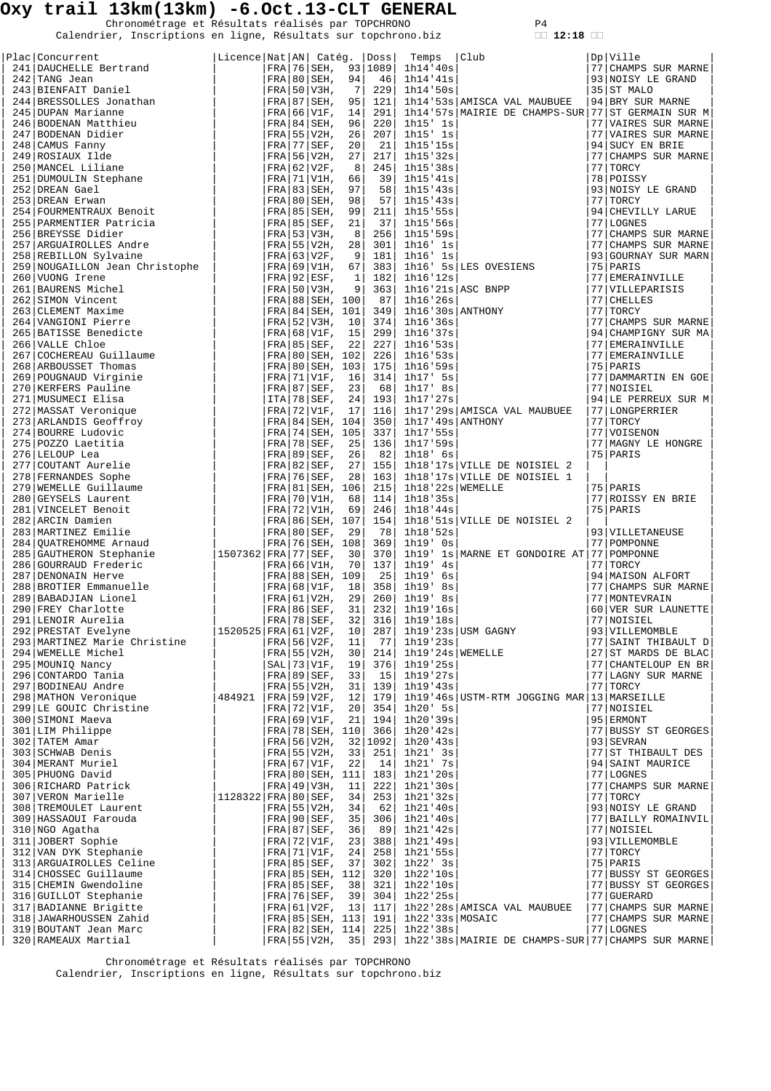Chronométrage et Résultats réalisés par TOPCHRONO P4<br>Calendrier, Inscriptions en ligne, Résultats sur topchrono.biz **12:18** 

| Plac   Concurrent                                                                                                                                                                                                                                    | Licence Nat AN  Catég.  Doss |  |                                    |                |                  | Temps                         | $ $ Club                                                                        | $Dp$ $V$ ille                    |
|------------------------------------------------------------------------------------------------------------------------------------------------------------------------------------------------------------------------------------------------------|------------------------------|--|------------------------------------|----------------|------------------|-------------------------------|---------------------------------------------------------------------------------|----------------------------------|
| ------ Jean<br>243 BIENFAIT Daniel<br>244 BRESSOLLES Jonathan<br>245 DUPAN Marianne<br>246 BODENAN Matthieu<br>247 BODENAN Didier<br>248 CAMUS Fanny<br>49 ROSIEUX Ide<br>50 MANCEL Liliane<br>41 DUMOULIN Stephane<br>2 DREAN Gael<br>3 DREAN Erwan |                              |  |                                    |                |                  | FRA 76 SEH, 93 1089 1h14 '40s |                                                                                 | 77 CHAMPS SUR MARNE              |
|                                                                                                                                                                                                                                                      |                              |  | FRA 80 SEH, 94                     |                |                  | 46 1h14'41s                   |                                                                                 | 93 NOISY LE GRAND                |
|                                                                                                                                                                                                                                                      |                              |  | $FRA$ 50 V3H,                      | 7 <sup>1</sup> | 229              | 1h14:50s                      |                                                                                 | 35 ST MALO                       |
|                                                                                                                                                                                                                                                      |                              |  | FRA 87 SEH, 95                     |                | 121              |                               | 1h14'53s   AMISCA VAL MAUBUEE                                                   | 94 BRY SUR MARNE                 |
|                                                                                                                                                                                                                                                      |                              |  | $FRA$ 66 V1F,                      | 14             | 291              |                               | 1h14'57s MAIRIE DE CHAMPS-SUR 77 ST GERMAIN SUR M                               |                                  |
|                                                                                                                                                                                                                                                      |                              |  | FRA 84 SEH, 96                     |                | 220 <sup>1</sup> | 1h15' 1s                      |                                                                                 | 77 VAIRES SUR MARNE              |
|                                                                                                                                                                                                                                                      |                              |  | $FRA$ 55 V2H,                      | 26             | 207              | $1h15'$ $1s$                  |                                                                                 | 77 VAIRES SUR MARNE              |
|                                                                                                                                                                                                                                                      |                              |  | $FRA$ 77 SEF, 20                   |                | -21              | 1h15'15s                      |                                                                                 | 94 SUCY EN BRIE                  |
|                                                                                                                                                                                                                                                      |                              |  | $FRA$ 56 V2H, 27                   |                | 217              | 1h15'32s                      |                                                                                 | 77 CHAMPS SUR MARNE              |
|                                                                                                                                                                                                                                                      |                              |  | $FRA$ 62 V2F,                      | 8              | 245              | 1h15'38s                      |                                                                                 | 77 TORCY                         |
|                                                                                                                                                                                                                                                      |                              |  | FRA 71 V1H, 66                     |                |                  | 39 1h15'41s                   |                                                                                 | 78 POISSY                        |
|                                                                                                                                                                                                                                                      |                              |  | FRA 83 SEH, 97<br>FRA 80   SEH, 98 |                | 58               | 1h15'43s                      |                                                                                 | 93 NOISY LE GRAND                |
| 254 FOURMENTRAUX Benoit                                                                                                                                                                                                                              |                              |  | FRA 85 SEH,                        | 99             | 57 <br>211       | 1h15'43s<br>1h15'55s          |                                                                                 | 77 TORCY<br>94 CHEVILLY LARUE    |
| 255 PARMENTIER Patricia                                                                                                                                                                                                                              |                              |  | FRA 85 SEF, 21                     |                | 37               | 1h15:56s                      |                                                                                 | 77 LOGNES                        |
| 256 BREYSSE Didier                                                                                                                                                                                                                                   |                              |  | $ FRA $ 53   V3H,                  | 8              |                  | 256 1h15'59s                  |                                                                                 | 77 CHAMPS SUR MARNE              |
|                                                                                                                                                                                                                                                      |                              |  |                                    |                |                  |                               |                                                                                 | 77 CHAMPS SUR MARNE              |
|                                                                                                                                                                                                                                                      |                              |  |                                    |                |                  |                               |                                                                                 | 93 GOURNAY SUR MARN              |
|                                                                                                                                                                                                                                                      |                              |  |                                    |                |                  |                               | 1h16' 5s LES OVESIENS                                                           | 75 PARIS                         |
|                                                                                                                                                                                                                                                      |                              |  |                                    |                |                  |                               |                                                                                 | 77 EMERAINVILLE                  |
|                                                                                                                                                                                                                                                      |                              |  |                                    |                |                  |                               |                                                                                 | 77   VILLEPARISIS                |
|                                                                                                                                                                                                                                                      |                              |  |                                    |                |                  |                               |                                                                                 | 77 CHELLES                       |
|                                                                                                                                                                                                                                                      |                              |  |                                    |                |                  |                               |                                                                                 | 77 TORCY                         |
|                                                                                                                                                                                                                                                      |                              |  |                                    |                |                  |                               |                                                                                 | 77 CHAMPS SUR MARNE              |
|                                                                                                                                                                                                                                                      |                              |  |                                    |                |                  |                               |                                                                                 | 94 CHAMPIGNY SUR MA              |
|                                                                                                                                                                                                                                                      |                              |  |                                    |                |                  |                               |                                                                                 | 77 EMERAINVILLE                  |
|                                                                                                                                                                                                                                                      |                              |  |                                    |                |                  |                               |                                                                                 | 77 EMERAINVILLE                  |
|                                                                                                                                                                                                                                                      |                              |  |                                    |                |                  |                               |                                                                                 | 75 PARIS                         |
|                                                                                                                                                                                                                                                      |                              |  |                                    |                |                  |                               |                                                                                 | 77 DAMMARTIN EN GOE              |
|                                                                                                                                                                                                                                                      |                              |  |                                    |                |                  |                               |                                                                                 | 77 NOISIEL                       |
|                                                                                                                                                                                                                                                      |                              |  |                                    |                |                  |                               |                                                                                 | 94 LE PERREUX SUR M              |
|                                                                                                                                                                                                                                                      |                              |  |                                    |                |                  |                               | 116 1h17'29s AMISCA VAL MAUBUEE                                                 | 77 LONGPERRIER                   |
|                                                                                                                                                                                                                                                      |                              |  |                                    |                |                  |                               |                                                                                 | 77 TORCY                         |
|                                                                                                                                                                                                                                                      |                              |  |                                    |                |                  |                               |                                                                                 | 77 VOISENON                      |
|                                                                                                                                                                                                                                                      |                              |  |                                    |                |                  |                               |                                                                                 | 77   MAGNY LE HONGRE<br>75 PARIS |
|                                                                                                                                                                                                                                                      |                              |  |                                    |                |                  |                               | 1h18'17s VILLE DE NOISIEL 2                                                     |                                  |
|                                                                                                                                                                                                                                                      |                              |  |                                    |                |                  |                               | 1h18'17s VILLE DE NOISIEL 1                                                     |                                  |
|                                                                                                                                                                                                                                                      |                              |  |                                    |                |                  |                               |                                                                                 | 75 PARIS                         |
|                                                                                                                                                                                                                                                      |                              |  |                                    |                |                  |                               |                                                                                 | 77 ROISSY EN BRIE                |
|                                                                                                                                                                                                                                                      |                              |  |                                    |                |                  |                               |                                                                                 | 75 PARIS                         |
|                                                                                                                                                                                                                                                      |                              |  |                                    |                |                  |                               | 1h18'51s VILLE DE NOISIEL 2                                                     |                                  |
|                                                                                                                                                                                                                                                      |                              |  |                                    |                |                  |                               |                                                                                 | 93 VILLETANEUSE                  |
|                                                                                                                                                                                                                                                      |                              |  |                                    |                |                  |                               |                                                                                 | 77   POMPONNE                    |
|                                                                                                                                                                                                                                                      |                              |  |                                    |                |                  |                               | 1h19' 1s MARNE ET GONDOIRE AT 77 POMPONNE                                       |                                  |
|                                                                                                                                                                                                                                                      |                              |  |                                    |                |                  |                               |                                                                                 | 77 TORCY                         |
|                                                                                                                                                                                                                                                      |                              |  |                                    |                |                  |                               |                                                                                 | 94 MAISON ALFORT                 |
|                                                                                                                                                                                                                                                      |                              |  |                                    |                |                  |                               |                                                                                 | 77 CHAMPS SUR MARNE              |
|                                                                                                                                                                                                                                                      |                              |  |                                    |                |                  |                               |                                                                                 | 77   MONTEVRAIN                  |
|                                                                                                                                                                                                                                                      |                              |  |                                    |                |                  |                               |                                                                                 | 60 VER SUR LAUNETTE              |
|                                                                                                                                                                                                                                                      |                              |  |                                    |                |                  |                               |                                                                                 | 77 NOISIEL                       |
|                                                                                                                                                                                                                                                      |                              |  |                                    |                |                  |                               |                                                                                 | 93 VILLEMOMBLE                   |
|                                                                                                                                                                                                                                                      |                              |  |                                    |                |                  |                               |                                                                                 | 77 SAINT THIBAULT D              |
|                                                                                                                                                                                                                                                      |                              |  |                                    |                |                  |                               |                                                                                 | 27 ST MARDS DE BLAC              |
|                                                                                                                                                                                                                                                      |                              |  |                                    |                |                  |                               |                                                                                 | 77 CHANTELOUP EN BR              |
|                                                                                                                                                                                                                                                      |                              |  |                                    |                |                  |                               |                                                                                 | 77 LAGNY SUR MARNE               |
|                                                                                                                                                                                                                                                      |                              |  |                                    |                |                  |                               | 1h19'46s USTM-RTM JOGGING MAR 13 MARSEILLE                                      | 77 TORCY                         |
|                                                                                                                                                                                                                                                      |                              |  |                                    |                |                  |                               |                                                                                 | 77 NOISIEL                       |
|                                                                                                                                                                                                                                                      |                              |  |                                    |                |                  |                               |                                                                                 | 95 ERMONT                        |
|                                                                                                                                                                                                                                                      |                              |  |                                    |                |                  |                               |                                                                                 | 77 BUSSY ST GEORGES              |
|                                                                                                                                                                                                                                                      |                              |  |                                    |                |                  |                               |                                                                                 | 93 SEVRAN                        |
|                                                                                                                                                                                                                                                      |                              |  |                                    |                |                  |                               |                                                                                 | 77 ST THIBAULT DES               |
|                                                                                                                                                                                                                                                      |                              |  |                                    |                |                  |                               |                                                                                 | 94 SAINT MAURICE                 |
|                                                                                                                                                                                                                                                      |                              |  |                                    |                |                  |                               |                                                                                 | 77 LOGNES                        |
|                                                                                                                                                                                                                                                      |                              |  |                                    |                |                  |                               |                                                                                 | 77 CHAMPS SUR MARNE              |
|                                                                                                                                                                                                                                                      |                              |  |                                    |                |                  |                               |                                                                                 | 77 TORCY                         |
|                                                                                                                                                                                                                                                      |                              |  |                                    |                |                  |                               |                                                                                 | 93 NOISY LE GRAND                |
| 307 VERON Marieire<br>308 TREMOULET Laurent                                                                                                                                                                                                          |                              |  |                                    |                |                  |                               |                                                                                 | 77 BAILLY ROMAINVIL              |
| 310 NGO Agatha                                                                                                                                                                                                                                       |                              |  | $FRA 87 SEF$ , 36                  |                |                  | 89  1h21'42s                  |                                                                                 | 77 NOISIEL                       |
| 310 NGO Agatha<br>311 JOBERT Sophie<br>312 VAN DYK Stephanie<br>313 ARGUAIROLLES Celine<br>314 CHOSEC Guillaume<br>315 CHEMIN Gwendoline<br>316 GUILLOT Stephanie<br>317 BADIANNE Brigitte                                                           |                              |  | FRA   72   V1F, 23                 |                | 388              | 1h21'49s                      |                                                                                 | 93 VILLEMOMBLE                   |
|                                                                                                                                                                                                                                                      |                              |  | FRA   71   V1F, 24                 |                | 258              | $1h21$ '55s                   |                                                                                 | $77$ TORCY                       |
|                                                                                                                                                                                                                                                      |                              |  | FRA 85 SEF, 37                     |                | 302              | $1h22'$ 3s                    |                                                                                 | $75$ PARIS                       |
|                                                                                                                                                                                                                                                      |                              |  | FRA 85 SEH, 112                    |                | 320              | 1h22'10s                      |                                                                                 | 77 BUSSY ST GEORGES              |
|                                                                                                                                                                                                                                                      |                              |  | FRA 85 SEF, 38                     |                | 321              | 1h22'10s                      |                                                                                 | 77 BUSSY ST GEORGES              |
|                                                                                                                                                                                                                                                      |                              |  | $FRA$ 76 SEF, 39                   |                | 304              | 1h22'25s                      |                                                                                 | 77 GUERARD                       |
|                                                                                                                                                                                                                                                      |                              |  | FRA   61   V2F, 13                 |                | 117              |                               | 1h22'28s AMISCA VAL MAUBUEE                                                     | 77 CHAMPS SUR MARNE              |
| 318 JAWARHOUSSEN Zahid                                                                                                                                                                                                                               |                              |  | FRA   85   SEH, 113                |                | 191              | 1h22'33s/MOSAIC               |                                                                                 | 77 CHAMPS SUR MARNE              |
| 319 BOUTANT Jean Marc<br>320 RAMEAUX Martial                                                                                                                                                                                                         |                              |  | FRA 82 SEH, 114                    |                |                  | $225$ 1h22'38s                | FRA 55 V2H, 35   293   1h22 '38s   MAIRIE DE CHAMPS-SUR   77   CHAMPS SUR MARNE | 77 LOGNES                        |
|                                                                                                                                                                                                                                                      |                              |  |                                    |                |                  |                               |                                                                                 |                                  |